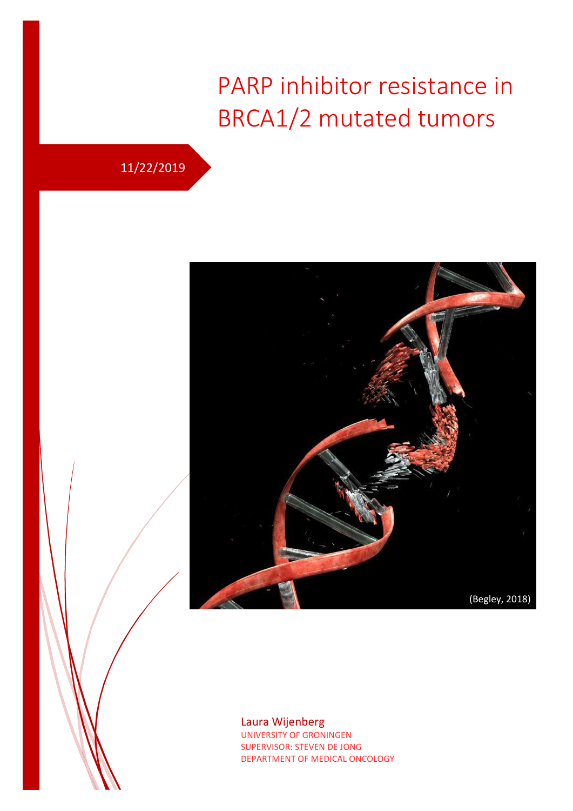# PARP inhibitor resistance in BRCA1/2 mutated tumors

## 11/22/2019



#### Laura Wijenberg UNIVERSITY OF GRONINGEN SUPERVISOR: STEVEN DE JONG DEPARTMENT OF MEDICAL ONCOLOGY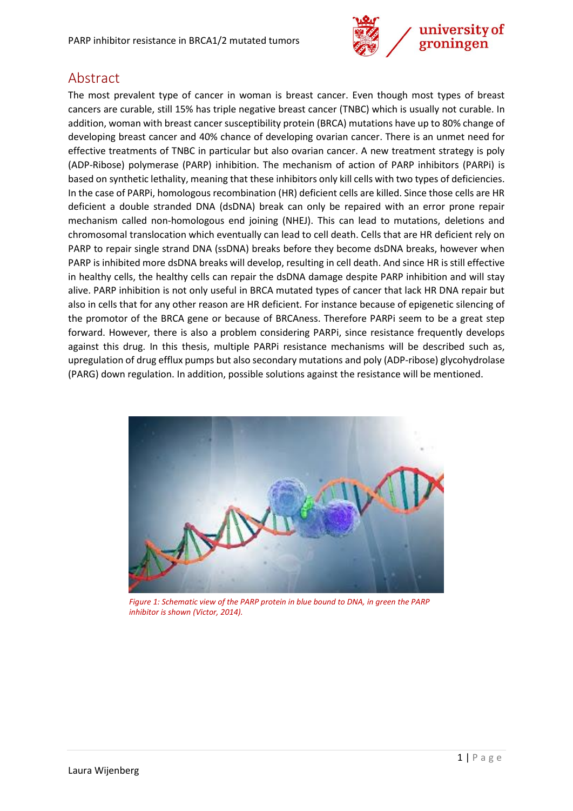

### <span id="page-1-0"></span>Abstract

The most prevalent type of cancer in woman is breast cancer. Even though most types of breast cancers are curable, still 15% has triple negative breast cancer (TNBC) which is usually not curable. In addition, woman with breast cancer susceptibility protein (BRCA) mutations have up to 80% change of developing breast cancer and 40% chance of developing ovarian cancer. There is an unmet need for effective treatments of TNBC in particular but also ovarian cancer. A new treatment strategy is poly (ADP-Ribose) polymerase (PARP) inhibition. The mechanism of action of PARP inhibitors (PARPi) is based on synthetic lethality, meaning that these inhibitors only kill cells with two types of deficiencies. In the case of PARPi, homologous recombination (HR) deficient cells are killed. Since those cells are HR deficient a double stranded DNA (dsDNA) break can only be repaired with an error prone repair mechanism called non-homologous end joining (NHEJ). This can lead to mutations, deletions and chromosomal translocation which eventually can lead to cell death. Cells that are HR deficient rely on PARP to repair single strand DNA (ssDNA) breaks before they become dsDNA breaks, however when PARP is inhibited more dsDNA breaks will develop, resulting in cell death. And since HR is still effective in healthy cells, the healthy cells can repair the dsDNA damage despite PARP inhibition and will stay alive. PARP inhibition is not only useful in BRCA mutated types of cancer that lack HR DNA repair but also in cells that for any other reason are HR deficient. For instance because of epigenetic silencing of the promotor of the BRCA gene or because of BRCAness. Therefore PARPi seem to be a great step forward. However, there is also a problem considering PARPi, since resistance frequently develops against this drug. In this thesis, multiple PARPi resistance mechanisms will be described such as, upregulation of drug efflux pumps but also secondary mutations and poly (ADP-ribose) glycohydrolase (PARG) down regulation. In addition, possible solutions against the resistance will be mentioned.



*Figure 1: Schematic view of the PARP protein in blue bound to DNA, in green the PARP inhibitor is shown (Victor, 2014).*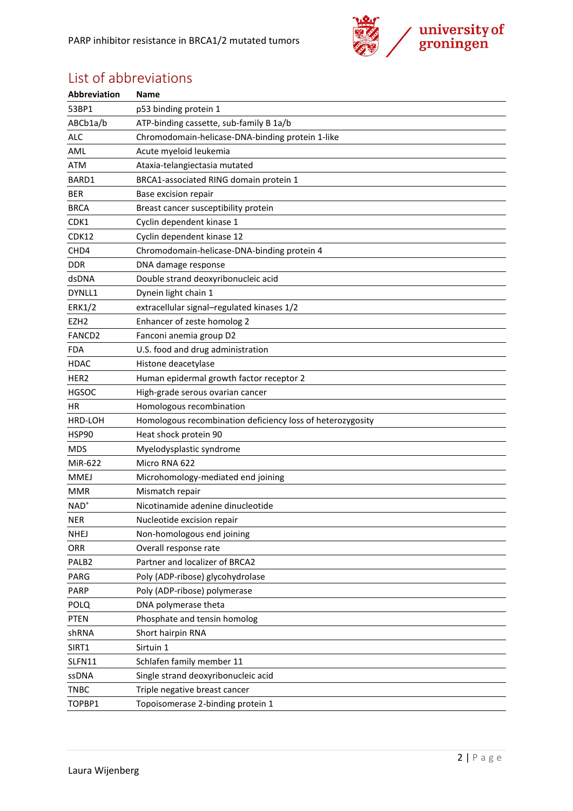

## <span id="page-2-0"></span>List of abbreviations

| Abbreviation      | <b>Name</b>                                                |
|-------------------|------------------------------------------------------------|
| 53BP1             | p53 binding protein 1                                      |
| ABCb1a/b          | ATP-binding cassette, sub-family B 1a/b                    |
| <b>ALC</b>        | Chromodomain-helicase-DNA-binding protein 1-like           |
| AML               | Acute myeloid leukemia                                     |
| <b>ATM</b>        | Ataxia-telangiectasia mutated                              |
| BARD1             | BRCA1-associated RING domain protein 1                     |
| <b>BER</b>        | Base excision repair                                       |
| <b>BRCA</b>       | Breast cancer susceptibility protein                       |
| CDK1              | Cyclin dependent kinase 1                                  |
| CDK12             | Cyclin dependent kinase 12                                 |
| CHD4              | Chromodomain-helicase-DNA-binding protein 4                |
| <b>DDR</b>        | DNA damage response                                        |
| dsDNA             | Double strand deoxyribonucleic acid                        |
| DYNLL1            | Dynein light chain 1                                       |
| <b>ERK1/2</b>     | extracellular signal-regulated kinases 1/2                 |
| EZH <sub>2</sub>  | Enhancer of zeste homolog 2                                |
| FANCD2            | Fanconi anemia group D2                                    |
| FDA               | U.S. food and drug administration                          |
| <b>HDAC</b>       | Histone deacetylase                                        |
| HER <sub>2</sub>  | Human epidermal growth factor receptor 2                   |
| <b>HGSOC</b>      | High-grade serous ovarian cancer                           |
| HR                | Homologous recombination                                   |
| HRD-LOH           | Homologous recombination deficiency loss of heterozygosity |
| <b>HSP90</b>      | Heat shock protein 90                                      |
| <b>MDS</b>        | Myelodysplastic syndrome                                   |
| MiR-622           | Micro RNA 622                                              |
| <b>MMEJ</b>       | Microhomology-mediated end joining                         |
| <b>MMR</b>        | Mismatch repair                                            |
| $NAD+$            | Nicotinamide adenine dinucleotide                          |
| <b>NER</b>        | Nucleotide excision repair                                 |
| NHEJ              | Non-homologous end joining                                 |
| ORR               | Overall response rate                                      |
| PALB <sub>2</sub> | Partner and localizer of BRCA2                             |
| PARG              | Poly (ADP-ribose) glycohydrolase                           |
| PARP              | Poly (ADP-ribose) polymerase                               |
| <b>POLQ</b>       | DNA polymerase theta                                       |
| <b>PTEN</b>       | Phosphate and tensin homolog                               |
| shRNA             | Short hairpin RNA                                          |
| SIRT1             | Sirtuin 1                                                  |
| SLFN11            | Schlafen family member 11                                  |
| ssDNA             | Single strand deoxyribonucleic acid                        |
| <b>TNBC</b>       | Triple negative breast cancer                              |
| TOPBP1            | Topoisomerase 2-binding protein 1                          |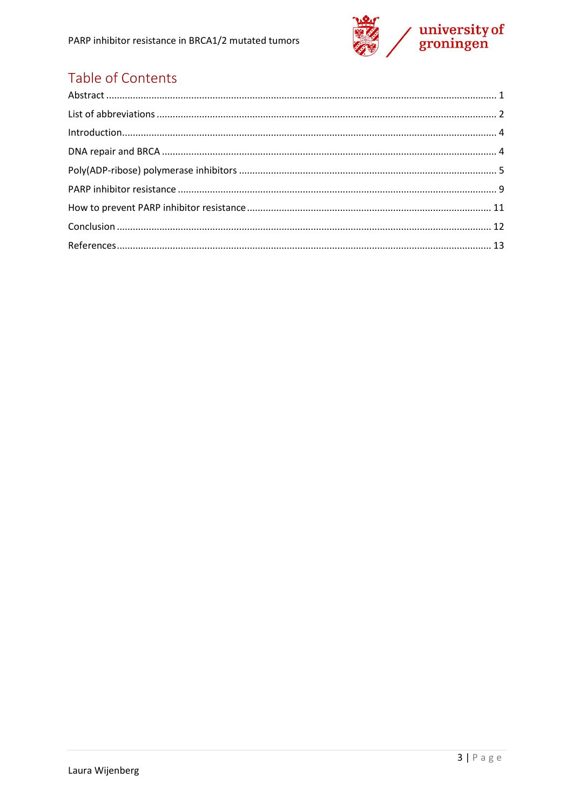

## Table of Contents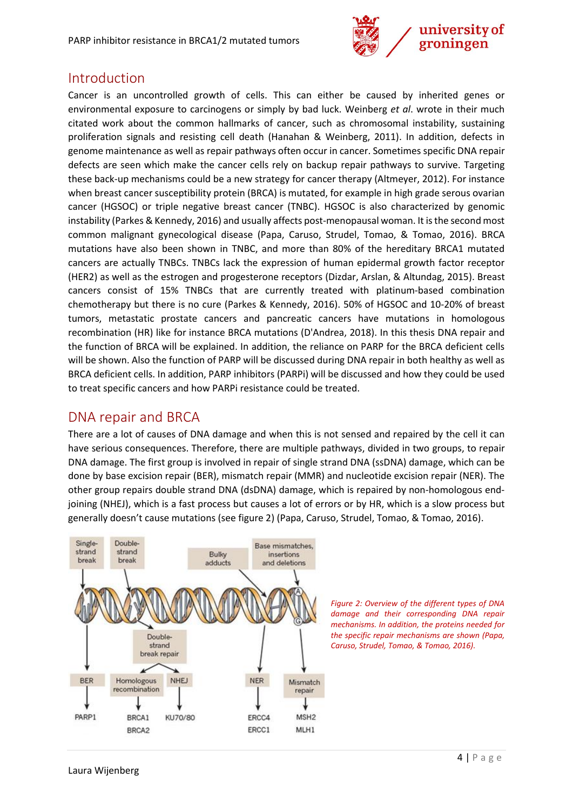

#### <span id="page-4-0"></span>Introduction

Cancer is an uncontrolled growth of cells. This can either be caused by inherited genes or environmental exposure to carcinogens or simply by bad luck. Weinberg *et al*. wrote in their much citated work about the common hallmarks of cancer, such as chromosomal instability, sustaining proliferation signals and resisting cell death (Hanahan & Weinberg, 2011). In addition, defects in genome maintenance as well as repair pathways often occur in cancer. Sometimes specific DNA repair defects are seen which make the cancer cells rely on backup repair pathways to survive. Targeting these back-up mechanisms could be a new strategy for cancer therapy (Altmeyer, 2012). For instance when breast cancer susceptibility protein (BRCA) is mutated, for example in high grade serous ovarian cancer (HGSOC) or triple negative breast cancer (TNBC). HGSOC is also characterized by genomic instability (Parkes & Kennedy, 2016) and usually affects post-menopausal woman. It is the second most common malignant gynecological disease (Papa, Caruso, Strudel, Tomao, & Tomao, 2016). BRCA mutations have also been shown in TNBC, and more than 80% of the hereditary BRCA1 mutated cancers are actually TNBCs. TNBCs lack the expression of human epidermal growth factor receptor (HER2) as well as the estrogen and progesterone receptors (Dizdar, Arslan, & Altundag, 2015). Breast cancers consist of 15% TNBCs that are currently treated with platinum-based combination chemotherapy but there is no cure (Parkes & Kennedy, 2016). 50% of HGSOC and 10-20% of breast tumors, metastatic prostate cancers and pancreatic cancers have mutations in homologous recombination (HR) like for instance BRCA mutations (D'Andrea, 2018). In this thesis DNA repair and the function of BRCA will be explained. In addition, the reliance on PARP for the BRCA deficient cells will be shown. Also the function of PARP will be discussed during DNA repair in both healthy as well as BRCA deficient cells. In addition, PARP inhibitors (PARPi) will be discussed and how they could be used to treat specific cancers and how PARPi resistance could be treated.

#### <span id="page-4-1"></span>DNA repair and BRCA

There are a lot of causes of DNA damage and when this is not sensed and repaired by the cell it can have serious consequences. Therefore, there are multiple pathways, divided in two groups, to repair DNA damage. The first group is involved in repair of single strand DNA (ssDNA) damage, which can be done by base excision repair (BER), mismatch repair (MMR) and nucleotide excision repair (NER). The other group repairs double strand DNA (dsDNA) damage, which is repaired by non-homologous endjoining (NHEJ), which is a fast process but causes a lot of errors or by HR, which is a slow process but generally doesn't cause mutations (see figure 2) (Papa, Caruso, Strudel, Tomao, & Tomao, 2016).



*Figure 2: Overview of the different types of DNA damage and their corresponding DNA repair mechanisms. In addition, the proteins needed for the specific repair mechanisms are shown (Papa, Caruso, Strudel, Tomao, & Tomao, 2016).*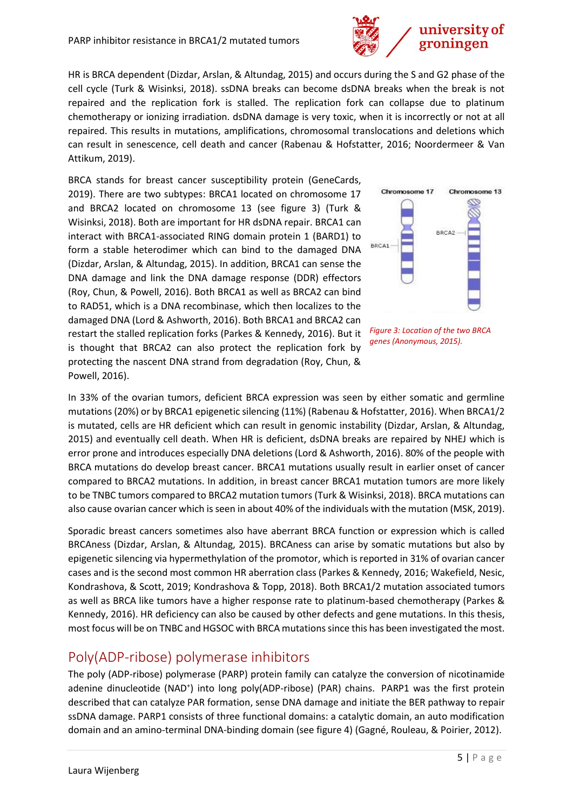HR is BRCA dependent (Dizdar, Arslan, & Altundag, 2015) and occurs during the S and G2 phase of the cell cycle (Turk & Wisinksi, 2018). ssDNA breaks can become dsDNA breaks when the break is not repaired and the replication fork is stalled. The replication fork can collapse due to platinum chemotherapy or ionizing irradiation. dsDNA damage is very toxic, when it is incorrectly or not at all repaired. This results in mutations, amplifications, chromosomal translocations and deletions which can result in senescence, cell death and cancer (Rabenau & Hofstatter, 2016; Noordermeer & Van Attikum, 2019).

BRCA stands for breast cancer susceptibility protein (GeneCards, 2019). There are two subtypes: BRCA1 located on chromosome 17 and BRCA2 located on chromosome 13 (see figure 3) (Turk & Wisinksi, 2018). Both are important for HR dsDNA repair. BRCA1 can interact with BRCA1-associated RING domain protein 1 (BARD1) to form a stable heterodimer which can bind to the damaged DNA (Dizdar, Arslan, & Altundag, 2015). In addition, BRCA1 can sense the DNA damage and link the DNA damage response (DDR) effectors (Roy, Chun, & Powell, 2016). Both BRCA1 as well as BRCA2 can bind to RAD51, which is a DNA recombinase, which then localizes to the damaged DNA (Lord & Ashworth, 2016). Both BRCA1 and BRCA2 can restart the stalled replication forks (Parkes & Kennedy, 2016). But it is thought that BRCA2 can also protect the replication fork by protecting the nascent DNA strand from degradation (Roy, Chun, & Powell, 2016).





In 33% of the ovarian tumors, deficient BRCA expression was seen by either somatic and germline mutations (20%) or by BRCA1 epigenetic silencing (11%) (Rabenau & Hofstatter, 2016). When BRCA1/2 is mutated, cells are HR deficient which can result in genomic instability (Dizdar, Arslan, & Altundag, 2015) and eventually cell death. When HR is deficient, dsDNA breaks are repaired by NHEJ which is error prone and introduces especially DNA deletions (Lord & Ashworth, 2016). 80% of the people with BRCA mutations do develop breast cancer. BRCA1 mutations usually result in earlier onset of cancer compared to BRCA2 mutations. In addition, in breast cancer BRCA1 mutation tumors are more likely to be TNBC tumors compared to BRCA2 mutation tumors (Turk & Wisinksi, 2018). BRCA mutations can also cause ovarian cancer which is seen in about 40% of the individuals with the mutation (MSK, 2019).

Sporadic breast cancers sometimes also have aberrant BRCA function or expression which is called BRCAness (Dizdar, Arslan, & Altundag, 2015). BRCAness can arise by somatic mutations but also by epigenetic silencing via hypermethylation of the promotor, which is reported in 31% of ovarian cancer cases and is the second most common HR aberration class (Parkes & Kennedy, 2016; Wakefield, Nesic, Kondrashova, & Scott, 2019; Kondrashova & Topp, 2018). Both BRCA1/2 mutation associated tumors as well as BRCA like tumors have a higher response rate to platinum-based chemotherapy (Parkes & Kennedy, 2016). HR deficiency can also be caused by other defects and gene mutations. In this thesis, most focus will be on TNBC and HGSOC with BRCA mutations since this has been investigated the most.

### <span id="page-5-0"></span>Poly(ADP-ribose) polymerase inhibitors

The poly (ADP-ribose) polymerase (PARP) protein family can catalyze the conversion of nicotinamide adenine dinucleotide (NAD<sup>+</sup>) into long poly(ADP-ribose) (PAR) chains. PARP1 was the first protein described that can catalyze PAR formation, sense DNA damage and initiate the BER pathway to repair ssDNA damage. PARP1 consists of three functional domains: a catalytic domain, an auto modification domain and an amino-terminal DNA-binding domain (see figure 4) (Gagné, Rouleau, & Poirier, 2012).

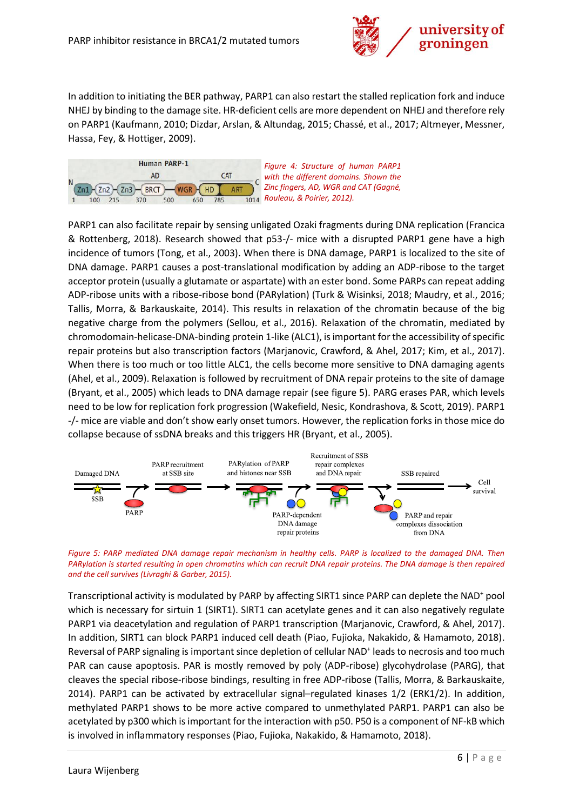

In addition to initiating the BER pathway, PARP1 can also restart the stalled replication fork and induce NHEJ by binding to the damage site. HR-deficient cells are more dependent on NHEJ and therefore rely on PARP1 (Kaufmann, 2010; Dizdar, Arslan, & Altundag, 2015; Chassé, et al., 2017; Altmeyer, Messner, Hassa, Fey, & Hottiger, 2009).



*Figure 4: Structure of human PARP1 with the different domains. Shown the Zinc fingers, AD, WGR and CAT (Gagné, Rouleau, & Poirier, 2012).*

PARP1 can also facilitate repair by sensing unligated Ozaki fragments during DNA replication (Francica & Rottenberg, 2018). Research showed that p53-/- mice with a disrupted PARP1 gene have a high incidence of tumors (Tong, et al., 2003). When there is DNA damage, PARP1 is localized to the site of DNA damage. PARP1 causes a post-translational modification by adding an ADP-ribose to the target acceptor protein (usually a glutamate or aspartate) with an ester bond. Some PARPs can repeat adding ADP-ribose units with a ribose-ribose bond (PARylation) (Turk & Wisinksi, 2018; Maudry, et al., 2016; Tallis, Morra, & Barkauskaite, 2014). This results in relaxation of the chromatin because of the big negative charge from the polymers (Sellou, et al., 2016). Relaxation of the chromatin, mediated by chromodomain-helicase-DNA-binding protein 1-like (ALC1), is important for the accessibility of specific repair proteins but also transcription factors (Marjanovic, Crawford, & Ahel, 2017; Kim, et al., 2017). When there is too much or too little ALC1, the cells become more sensitive to DNA damaging agents (Ahel, et al., 2009). Relaxation is followed by recruitment of DNA repair proteins to the site of damage (Bryant, et al., 2005) which leads to DNA damage repair (see figure 5). PARG erases PAR, which levels need to be low for replication fork progression (Wakefield, Nesic, Kondrashova, & Scott, 2019). PARP1 -/- mice are viable and don't show early onset tumors. However, the replication forks in those mice do collapse because of ssDNA breaks and this triggers HR (Bryant, et al., 2005).



*Figure 5: PARP mediated DNA damage repair mechanism in healthy cells. PARP is localized to the damaged DNA. Then PARylation is started resulting in open chromatins which can recruit DNA repair proteins. The DNA damage is then repaired and the cell survives (Livraghi & Garber, 2015).*

Transcriptional activity is modulated by PARP by affecting SIRT1 since PARP can deplete the NAD<sup>+</sup> pool which is necessary for sirtuin 1 (SIRT1). SIRT1 can acetylate genes and it can also negatively regulate PARP1 via deacetylation and regulation of PARP1 transcription (Marjanovic, Crawford, & Ahel, 2017). In addition, SIRT1 can block PARP1 induced cell death (Piao, Fujioka, Nakakido, & Hamamoto, 2018). Reversal of PARP signaling is important since depletion of cellular NAD<sup>+</sup> leads to necrosis and too much PAR can cause apoptosis. PAR is mostly removed by poly (ADP-ribose) glycohydrolase (PARG), that cleaves the special ribose-ribose bindings, resulting in free ADP-ribose (Tallis, Morra, & Barkauskaite, 2014). PARP1 can be activated by extracellular signal–regulated kinases 1/2 (ERK1/2). In addition, methylated PARP1 shows to be more active compared to unmethylated PARP1. PARP1 can also be acetylated by p300 which is important for the interaction with p50. P50 is a component of NF-kB which is involved in inflammatory responses (Piao, Fujioka, Nakakido, & Hamamoto, 2018).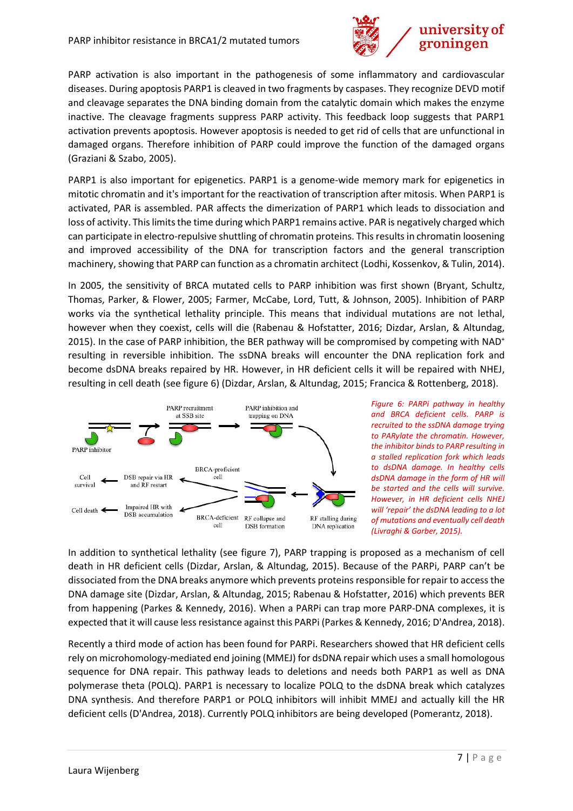

PARP activation is also important in the pathogenesis of some inflammatory and cardiovascular diseases. During apoptosis PARP1 is cleaved in two fragments by caspases. They recognize DEVD motif and cleavage separates the DNA binding domain from the catalytic domain which makes the enzyme inactive. The cleavage fragments suppress PARP activity. This feedback loop suggests that PARP1 activation prevents apoptosis. However apoptosis is needed to get rid of cells that are unfunctional in damaged organs. Therefore inhibition of PARP could improve the function of the damaged organs (Graziani & Szabo, 2005).

PARP1 is also important for epigenetics. PARP1 is a genome-wide memory mark for epigenetics in mitotic chromatin and it's important for the reactivation of transcription after mitosis. When PARP1 is activated, PAR is assembled. PAR affects the dimerization of PARP1 which leads to dissociation and loss of activity. This limits the time during which PARP1 remains active. PAR is negatively charged which can participate in electro-repulsive shuttling of chromatin proteins. This results in chromatin loosening and improved accessibility of the DNA for transcription factors and the general transcription machinery, showing that PARP can function as a chromatin architect (Lodhi, Kossenkov, & Tulin, 2014).

In 2005, the sensitivity of BRCA mutated cells to PARP inhibition was first shown (Bryant, Schultz, Thomas, Parker, & Flower, 2005; Farmer, McCabe, Lord, Tutt, & Johnson, 2005). Inhibition of PARP works via the synthetical lethality principle. This means that individual mutations are not lethal, however when they coexist, cells will die (Rabenau & Hofstatter, 2016; Dizdar, Arslan, & Altundag, 2015). In the case of PARP inhibition, the BER pathway will be compromised by competing with NAD<sup>+</sup> resulting in reversible inhibition. The ssDNA breaks will encounter the DNA replication fork and become dsDNA breaks repaired by HR. However, in HR deficient cells it will be repaired with NHEJ, resulting in cell death (see figure 6) (Dizdar, Arslan, & Altundag, 2015; Francica & Rottenberg, 2018).



*Figure 6: PARPi pathway in healthy and BRCA deficient cells. PARP is recruited to the ssDNA damage trying to PARylate the chromatin. However, the inhibitor binds to PARP resulting in a stalled replication fork which leads to dsDNA damage. In healthy cells dsDNA damage in the form of HR will be started and the cells will survive. However, in HR deficient cells NHEJ will 'repair' the dsDNA leading to a lot of mutations and eventually cell death (Livraghi & Garber, 2015).*

In addition to synthetical lethality (see figure 7), PARP trapping is proposed as a mechanism of cell death in HR deficient cells (Dizdar, Arslan, & Altundag, 2015). Because of the PARPi, PARP can't be dissociated from the DNA breaks anymore which prevents proteins responsible for repair to access the DNA damage site (Dizdar, Arslan, & Altundag, 2015; Rabenau & Hofstatter, 2016) which prevents BER from happening (Parkes & Kennedy, 2016). When a PARPi can trap more PARP-DNA complexes, it is expected that it will cause less resistance against this PARPi (Parkes & Kennedy, 2016; D'Andrea, 2018).

Recently a third mode of action has been found for PARPi. Researchers showed that HR deficient cells rely on microhomology-mediated end joining (MMEJ) for dsDNA repair which uses a small homologous sequence for DNA repair. This pathway leads to deletions and needs both PARP1 as well as DNA polymerase theta (POLQ). PARP1 is necessary to localize POLQ to the dsDNA break which catalyzes DNA synthesis. And therefore PARP1 or POLQ inhibitors will inhibit MMEJ and actually kill the HR deficient cells (D'Andrea, 2018). Currently POLQ inhibitors are being developed (Pomerantz, 2018).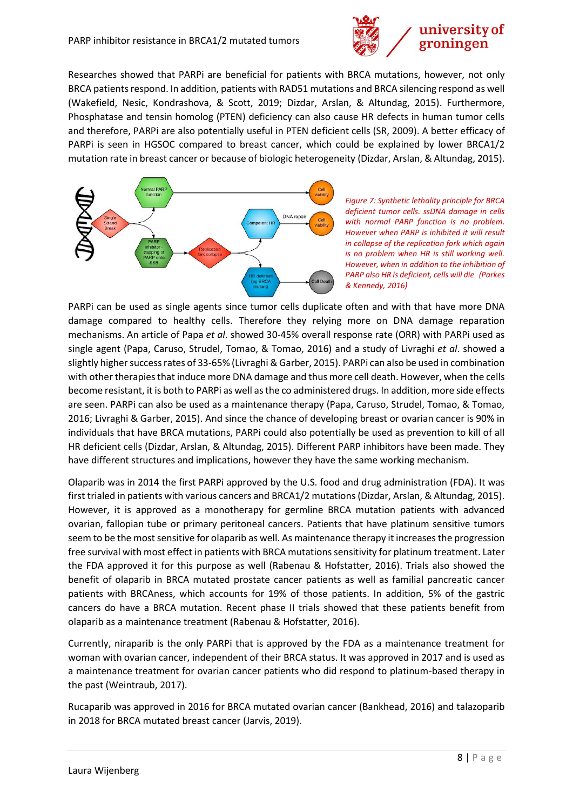

Researches showed that PARPi are beneficial for patients with BRCA mutations, however, not only BRCA patients respond. In addition, patients with RAD51 mutations and BRCA silencing respond as well (Wakefield, Nesic, Kondrashova, & Scott, 2019; Dizdar, Arslan, & Altundag, 2015). Furthermore, Phosphatase and tensin homolog (PTEN) deficiency can also cause HR defects in human tumor cells and therefore, PARPi are also potentially useful in PTEN deficient cells (SR, 2009). A better efficacy of PARPi is seen in HGSOC compared to breast cancer, which could be explained by lower BRCA1/2 mutation rate in breast cancer or because of biologic heterogeneity (Dizdar, Arslan, & Altundag, 2015).



*Figure 7: Synthetic lethality principle for BRCA deficient tumor cells. ssDNA damage in cells with normal PARP function is no problem. However when PARP is inhibited it will result in collapse of the replication fork which again is no problem when HR is still working well. However, when in addition to the inhibition of PARP also HR is deficient, cells will die (Parkes & Kennedy, 2016)*

PARPi can be used as single agents since tumor cells duplicate often and with that have more DNA damage compared to healthy cells. Therefore they relying more on DNA damage reparation mechanisms. An article of Papa *et al*. showed 30-45% overall response rate (ORR) with PARPi used as single agent (Papa, Caruso, Strudel, Tomao, & Tomao, 2016) and a study of Livraghi *et al*. showed a slightly higher success rates of 33-65% (Livraghi & Garber, 2015). PARPi can also be used in combination with other therapies that induce more DNA damage and thus more cell death. However, when the cells become resistant, it is both to PARPi as well as the co administered drugs. In addition, more side effects are seen. PARPi can also be used as a maintenance therapy (Papa, Caruso, Strudel, Tomao, & Tomao, 2016; Livraghi & Garber, 2015). And since the chance of developing breast or ovarian cancer is 90% in individuals that have BRCA mutations, PARPi could also potentially be used as prevention to kill of all HR deficient cells (Dizdar, Arslan, & Altundag, 2015). Different PARP inhibitors have been made. They have different structures and implications, however they have the same working mechanism.

Olaparib was in 2014 the first PARPi approved by the U.S. food and drug administration (FDA). It was first trialed in patients with various cancers and BRCA1/2 mutations (Dizdar, Arslan, & Altundag, 2015). However, it is approved as a monotherapy for germline BRCA mutation patients with advanced ovarian, fallopian tube or primary peritoneal cancers. Patients that have platinum sensitive tumors seem to be the most sensitive for olaparib as well. As maintenance therapy it increases the progression free survival with most effect in patients with BRCA mutations sensitivity for platinum treatment. Later the FDA approved it for this purpose as well (Rabenau & Hofstatter, 2016). Trials also showed the benefit of olaparib in BRCA mutated prostate cancer patients as well as familial pancreatic cancer patients with BRCAness, which accounts for 19% of those patients. In addition, 5% of the gastric cancers do have a BRCA mutation. Recent phase II trials showed that these patients benefit from olaparib as a maintenance treatment (Rabenau & Hofstatter, 2016).

Currently, niraparib is the only PARPi that is approved by the FDA as a maintenance treatment for woman with ovarian cancer, independent of their BRCA status. It was approved in 2017 and is used as a maintenance treatment for ovarian cancer patients who did respond to platinum-based therapy in the past (Weintraub, 2017).

Rucaparib was approved in 2016 for BRCA mutated ovarian cancer (Bankhead, 2016) and talazoparib in 2018 for BRCA mutated breast cancer (Jarvis, 2019).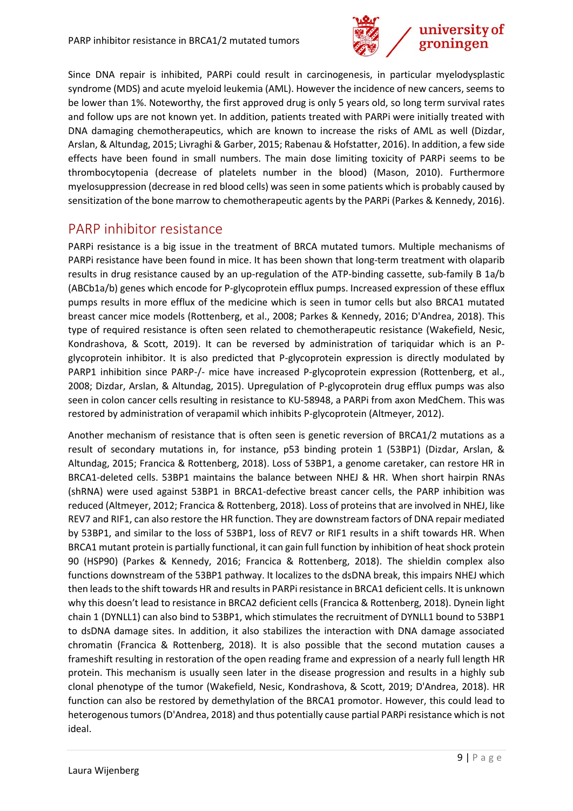

Since DNA repair is inhibited, PARPi could result in carcinogenesis, in particular myelodysplastic syndrome (MDS) and acute myeloid leukemia (AML). However the incidence of new cancers, seems to be lower than 1%. Noteworthy, the first approved drug is only 5 years old, so long term survival rates and follow ups are not known yet. In addition, patients treated with PARPi were initially treated with DNA damaging chemotherapeutics, which are known to increase the risks of AML as well (Dizdar, Arslan, & Altundag, 2015; Livraghi & Garber, 2015; Rabenau & Hofstatter, 2016). In addition, a few side effects have been found in small numbers. The main dose limiting toxicity of PARPi seems to be thrombocytopenia (decrease of platelets number in the blood) (Mason, 2010). Furthermore myelosuppression (decrease in red blood cells) was seen in some patients which is probably caused by sensitization of the bone marrow to chemotherapeutic agents by the PARPi (Parkes & Kennedy, 2016).

#### <span id="page-9-0"></span>PARP inhibitor resistance

PARPi resistance is a big issue in the treatment of BRCA mutated tumors. Multiple mechanisms of PARPi resistance have been found in mice. It has been shown that long-term treatment with olaparib results in drug resistance caused by an up-regulation of the ATP-binding cassette, sub-family B 1a/b (ABCb1a/b) genes which encode for P-glycoprotein efflux pumps. Increased expression of these efflux pumps results in more efflux of the medicine which is seen in tumor cells but also BRCA1 mutated breast cancer mice models (Rottenberg, et al., 2008; Parkes & Kennedy, 2016; D'Andrea, 2018). This type of required resistance is often seen related to chemotherapeutic resistance (Wakefield, Nesic, Kondrashova, & Scott, 2019). It can be reversed by administration of tariquidar which is an Pglycoprotein inhibitor. It is also predicted that P-glycoprotein expression is directly modulated by PARP1 inhibition since PARP-/- mice have increased P-glycoprotein expression (Rottenberg, et al., 2008; Dizdar, Arslan, & Altundag, 2015). Upregulation of P-glycoprotein drug efflux pumps was also seen in colon cancer cells resulting in resistance to KU-58948, a PARPi from axon MedChem. This was restored by administration of verapamil which inhibits P-glycoprotein (Altmeyer, 2012).

Another mechanism of resistance that is often seen is genetic reversion of BRCA1/2 mutations as a result of secondary mutations in, for instance, p53 binding protein 1 (53BP1) (Dizdar, Arslan, & Altundag, 2015; Francica & Rottenberg, 2018). Loss of 53BP1, a genome caretaker, can restore HR in BRCA1-deleted cells. 53BP1 maintains the balance between NHEJ & HR. When short hairpin RNAs (shRNA) were used against 53BP1 in BRCA1-defective breast cancer cells, the PARP inhibition was reduced (Altmeyer, 2012; Francica & Rottenberg, 2018). Loss of proteins that are involved in NHEJ, like REV7 and RIF1, can also restore the HR function. They are downstream factors of DNA repair mediated by 53BP1, and similar to the loss of 53BP1, loss of REV7 or RIF1 results in a shift towards HR. When BRCA1 mutant protein is partially functional, it can gain full function by inhibition of heat shock protein 90 (HSP90) (Parkes & Kennedy, 2016; Francica & Rottenberg, 2018). The shieldin complex also functions downstream of the 53BP1 pathway. It localizes to the dsDNA break, this impairs NHEJ which then leads to the shift towards HR and results in PARPiresistance in BRCA1 deficient cells. It is unknown why this doesn't lead to resistance in BRCA2 deficient cells (Francica & Rottenberg, 2018). Dynein light chain 1 (DYNLL1) can also bind to 53BP1, which stimulates the recruitment of DYNLL1 bound to 53BP1 to dsDNA damage sites. In addition, it also stabilizes the interaction with DNA damage associated chromatin (Francica & Rottenberg, 2018). It is also possible that the second mutation causes a frameshift resulting in restoration of the open reading frame and expression of a nearly full length HR protein. This mechanism is usually seen later in the disease progression and results in a highly sub clonal phenotype of the tumor (Wakefield, Nesic, Kondrashova, & Scott, 2019; D'Andrea, 2018). HR function can also be restored by demethylation of the BRCA1 promotor. However, this could lead to heterogenous tumors (D'Andrea, 2018) and thus potentially cause partial PARPi resistance which is not ideal.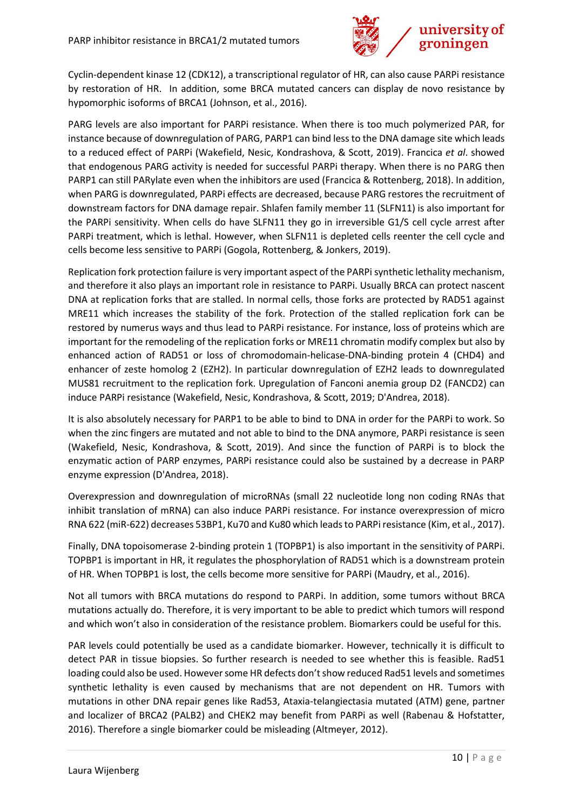

Cyclin-dependent kinase 12 (CDK12), a transcriptional regulator of HR, can also cause PARPi resistance by restoration of HR. In addition, some BRCA mutated cancers can display de novo resistance by hypomorphic isoforms of BRCA1 (Johnson, et al., 2016).

PARG levels are also important for PARPi resistance. When there is too much polymerized PAR, for instance because of downregulation of PARG, PARP1 can bind less to the DNA damage site which leads to a reduced effect of PARPi (Wakefield, Nesic, Kondrashova, & Scott, 2019). Francica *et al*. showed that endogenous PARG activity is needed for successful PARPi therapy. When there is no PARG then PARP1 can still PARylate even when the inhibitors are used (Francica & Rottenberg, 2018). In addition, when PARG is downregulated, PARPi effects are decreased, because PARG restores the recruitment of downstream factors for DNA damage repair. Shlafen family member 11 (SLFN11) is also important for the PARPi sensitivity. When cells do have SLFN11 they go in irreversible G1/S cell cycle arrest after PARPi treatment, which is lethal. However, when SLFN11 is depleted cells reenter the cell cycle and cells become less sensitive to PARPi (Gogola, Rottenberg, & Jonkers, 2019).

Replication fork protection failure is very important aspect of the PARPi synthetic lethality mechanism, and therefore it also plays an important role in resistance to PARPi. Usually BRCA can protect nascent DNA at replication forks that are stalled. In normal cells, those forks are protected by RAD51 against MRE11 which increases the stability of the fork. Protection of the stalled replication fork can be restored by numerus ways and thus lead to PARPi resistance. For instance, loss of proteins which are important for the remodeling of the replication forks or MRE11 chromatin modify complex but also by enhanced action of RAD51 or loss of chromodomain-helicase-DNA-binding protein 4 (CHD4) and enhancer of zeste homolog 2 (EZH2). In particular downregulation of EZH2 leads to downregulated MUS81 recruitment to the replication fork. Upregulation of Fanconi anemia group D2 (FANCD2) can induce PARPi resistance (Wakefield, Nesic, Kondrashova, & Scott, 2019; D'Andrea, 2018).

It is also absolutely necessary for PARP1 to be able to bind to DNA in order for the PARPi to work. So when the zinc fingers are mutated and not able to bind to the DNA anymore, PARPi resistance is seen (Wakefield, Nesic, Kondrashova, & Scott, 2019). And since the function of PARPi is to block the enzymatic action of PARP enzymes, PARPi resistance could also be sustained by a decrease in PARP enzyme expression (D'Andrea, 2018).

Overexpression and downregulation of microRNAs (small 22 nucleotide long non coding RNAs that inhibit translation of mRNA) can also induce PARPi resistance. For instance overexpression of micro RNA 622 (miR-622) decreases 53BP1, Ku70 and Ku80 which leads to PARPiresistance (Kim, et al., 2017).

Finally, DNA topoisomerase 2-binding protein 1 (TOPBP1) is also important in the sensitivity of PARPi. TOPBP1 is important in HR, it regulates the phosphorylation of RAD51 which is a downstream protein of HR. When TOPBP1 is lost, the cells become more sensitive for PARPi (Maudry, et al., 2016).

Not all tumors with BRCA mutations do respond to PARPi. In addition, some tumors without BRCA mutations actually do. Therefore, it is very important to be able to predict which tumors will respond and which won't also in consideration of the resistance problem. Biomarkers could be useful for this.

PAR levels could potentially be used as a candidate biomarker. However, technically it is difficult to detect PAR in tissue biopsies. So further research is needed to see whether this is feasible. Rad51 loading could also be used. However some HR defects don't show reduced Rad51 levels and sometimes synthetic lethality is even caused by mechanisms that are not dependent on HR. Tumors with mutations in other DNA repair genes like Rad53, Ataxia-telangiectasia mutated (ATM) gene, partner and localizer of BRCA2 (PALB2) and CHEK2 may benefit from PARPi as well (Rabenau & Hofstatter, 2016). Therefore a single biomarker could be misleading (Altmeyer, 2012).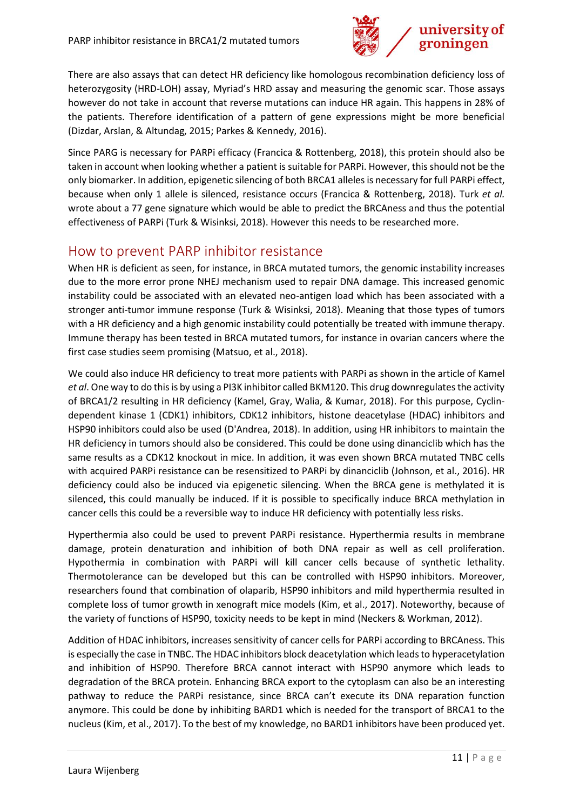

There are also assays that can detect HR deficiency like homologous recombination deficiency loss of heterozygosity (HRD-LOH) assay, Myriad's HRD assay and measuring the genomic scar. Those assays however do not take in account that reverse mutations can induce HR again. This happens in 28% of the patients. Therefore identification of a pattern of gene expressions might be more beneficial (Dizdar, Arslan, & Altundag, 2015; Parkes & Kennedy, 2016).

Since PARG is necessary for PARPi efficacy (Francica & Rottenberg, 2018), this protein should also be taken in account when looking whether a patient is suitable for PARPi. However, this should not be the only biomarker. In addition, epigenetic silencing of both BRCA1 allelesis necessary for full PARPi effect, because when only 1 allele is silenced, resistance occurs (Francica & Rottenberg, 2018). Turk *et al.* wrote about a 77 gene signature which would be able to predict the BRCAness and thus the potential effectiveness of PARPi (Turk & Wisinksi, 2018). However this needs to be researched more.

#### <span id="page-11-0"></span>How to prevent PARP inhibitor resistance

When HR is deficient as seen, for instance, in BRCA mutated tumors, the genomic instability increases due to the more error prone NHEJ mechanism used to repair DNA damage. This increased genomic instability could be associated with an elevated neo-antigen load which has been associated with a stronger anti-tumor immune response (Turk & Wisinksi, 2018). Meaning that those types of tumors with a HR deficiency and a high genomic instability could potentially be treated with immune therapy. Immune therapy has been tested in BRCA mutated tumors, for instance in ovarian cancers where the first case studies seem promising (Matsuo, et al., 2018).

We could also induce HR deficiency to treat more patients with PARPi as shown in the article of Kamel *et al*. One way to do this is by using a PI3K inhibitor called BKM120. This drug downregulates the activity of BRCA1/2 resulting in HR deficiency (Kamel, Gray, Walia, & Kumar, 2018). For this purpose, Cyclindependent kinase 1 (CDK1) inhibitors, CDK12 inhibitors, histone deacetylase (HDAC) inhibitors and HSP90 inhibitors could also be used (D'Andrea, 2018). In addition, using HR inhibitors to maintain the HR deficiency in tumors should also be considered. This could be done using dinanciclib which has the same results as a CDK12 knockout in mice. In addition, it was even shown BRCA mutated TNBC cells with acquired PARPi resistance can be resensitized to PARPi by dinanciclib (Johnson, et al., 2016). HR deficiency could also be induced via epigenetic silencing. When the BRCA gene is methylated it is silenced, this could manually be induced. If it is possible to specifically induce BRCA methylation in cancer cells this could be a reversible way to induce HR deficiency with potentially less risks.

Hyperthermia also could be used to prevent PARPi resistance. Hyperthermia results in membrane damage, protein denaturation and inhibition of both DNA repair as well as cell proliferation. Hypothermia in combination with PARPi will kill cancer cells because of synthetic lethality. Thermotolerance can be developed but this can be controlled with HSP90 inhibitors. Moreover, researchers found that combination of olaparib, HSP90 inhibitors and mild hyperthermia resulted in complete loss of tumor growth in xenograft mice models (Kim, et al., 2017). Noteworthy, because of the variety of functions of HSP90, toxicity needs to be kept in mind (Neckers & Workman, 2012).

Addition of HDAC inhibitors, increases sensitivity of cancer cells for PARPi according to BRCAness. This is especially the case in TNBC. The HDAC inhibitors block deacetylation which leads to hyperacetylation and inhibition of HSP90. Therefore BRCA cannot interact with HSP90 anymore which leads to degradation of the BRCA protein. Enhancing BRCA export to the cytoplasm can also be an interesting pathway to reduce the PARPi resistance, since BRCA can't execute its DNA reparation function anymore. This could be done by inhibiting BARD1 which is needed for the transport of BRCA1 to the nucleus (Kim, et al., 2017). To the best of my knowledge, no BARD1 inhibitors have been produced yet.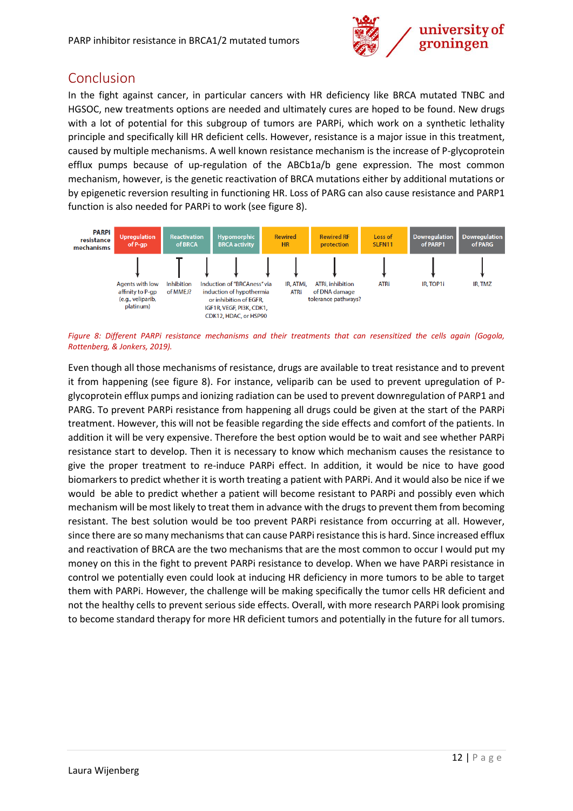

#### <span id="page-12-0"></span>Conclusion

In the fight against cancer, in particular cancers with HR deficiency like BRCA mutated TNBC and HGSOC, new treatments options are needed and ultimately cures are hoped to be found. New drugs with a lot of potential for this subgroup of tumors are PARPi, which work on a synthetic lethality principle and specifically kill HR deficient cells. However, resistance is a major issue in this treatment, caused by multiple mechanisms. A well known resistance mechanism is the increase of P-glycoprotein efflux pumps because of up-regulation of the ABCb1a/b gene expression. The most common mechanism, however, is the genetic reactivation of BRCA mutations either by additional mutations or by epigenetic reversion resulting in functioning HR. Loss of PARG can also cause resistance and PARP1 function is also needed for PARPi to work (see figure 8).



*Figure 8: Different PARPi resistance mechanisms and their treatments that can resensitized the cells again (Gogola, Rottenberg, & Jonkers, 2019).*

Even though all those mechanisms of resistance, drugs are available to treat resistance and to prevent it from happening (see figure 8). For instance, veliparib can be used to prevent upregulation of Pglycoprotein efflux pumps and ionizing radiation can be used to prevent downregulation of PARP1 and PARG. To prevent PARPi resistance from happening all drugs could be given at the start of the PARPi treatment. However, this will not be feasible regarding the side effects and comfort of the patients. In addition it will be very expensive. Therefore the best option would be to wait and see whether PARPi resistance start to develop. Then it is necessary to know which mechanism causes the resistance to give the proper treatment to re-induce PARPi effect. In addition, it would be nice to have good biomarkers to predict whether it is worth treating a patient with PARPi. And it would also be nice if we would be able to predict whether a patient will become resistant to PARPi and possibly even which mechanism will be most likely to treat them in advance with the drugs to prevent them from becoming resistant. The best solution would be too prevent PARPi resistance from occurring at all. However, since there are so many mechanisms that can cause PARPi resistance this is hard. Since increased efflux and reactivation of BRCA are the two mechanisms that are the most common to occur I would put my money on this in the fight to prevent PARPi resistance to develop. When we have PARPi resistance in control we potentially even could look at inducing HR deficiency in more tumors to be able to target them with PARPi. However, the challenge will be making specifically the tumor cells HR deficient and not the healthy cells to prevent serious side effects. Overall, with more research PARPi look promising to become standard therapy for more HR deficient tumors and potentially in the future for all tumors.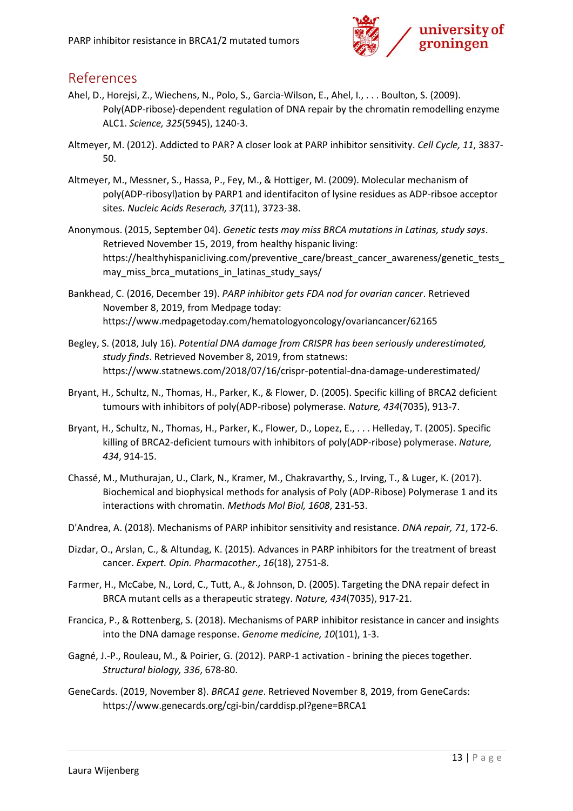

#### <span id="page-13-0"></span>References

- Ahel, D., Horejsi, Z., Wiechens, N., Polo, S., Garcia-Wilson, E., Ahel, I., . . . Boulton, S. (2009). Poly(ADP-ribose)-dependent regulation of DNA repair by the chromatin remodelling enzyme ALC1. *Science, 325*(5945), 1240-3.
- Altmeyer, M. (2012). Addicted to PAR? A closer look at PARP inhibitor sensitivity. *Cell Cycle, 11*, 3837- 50.
- Altmeyer, M., Messner, S., Hassa, P., Fey, M., & Hottiger, M. (2009). Molecular mechanism of poly(ADP-ribosyl)ation by PARP1 and identifaciton of lysine residues as ADP-ribsoe acceptor sites. *Nucleic Acids Reserach, 37*(11), 3723-38.
- Anonymous. (2015, September 04). *Genetic tests may miss BRCA mutations in Latinas, study says*. Retrieved November 15, 2019, from healthy hispanic living: https://healthyhispanicliving.com/preventive\_care/breast\_cancer\_awareness/genetic\_tests\_ may miss brca mutations in latinas study says/
- Bankhead, C. (2016, December 19). *PARP inhibitor gets FDA nod for ovarian cancer*. Retrieved November 8, 2019, from Medpage today: https://www.medpagetoday.com/hematologyoncology/ovariancancer/62165
- Begley, S. (2018, July 16). *Potential DNA damage from CRISPR has been seriously underestimated, study finds*. Retrieved November 8, 2019, from statnews: https://www.statnews.com/2018/07/16/crispr-potential-dna-damage-underestimated/
- Bryant, H., Schultz, N., Thomas, H., Parker, K., & Flower, D. (2005). Specific killing of BRCA2 deficient tumours with inhibitors of poly(ADP-ribose) polymerase. *Nature, 434*(7035), 913-7.
- Bryant, H., Schultz, N., Thomas, H., Parker, K., Flower, D., Lopez, E., . . . Helleday, T. (2005). Specific killing of BRCA2-deficient tumours with inhibitors of poly(ADP-ribose) polymerase. *Nature, 434*, 914-15.
- Chassé, M., Muthurajan, U., Clark, N., Kramer, M., Chakravarthy, S., Irving, T., & Luger, K. (2017). Biochemical and biophysical methods for analysis of Poly (ADP-Ribose) Polymerase 1 and its interactions with chromatin. *Methods Mol Biol, 1608*, 231-53.
- D'Andrea, A. (2018). Mechanisms of PARP inhibitor sensitivity and resistance. *DNA repair, 71*, 172-6.
- Dizdar, O., Arslan, C., & Altundag, K. (2015). Advances in PARP inhibitors for the treatment of breast cancer. *Expert. Opin. Pharmacother., 16*(18), 2751-8.
- Farmer, H., McCabe, N., Lord, C., Tutt, A., & Johnson, D. (2005). Targeting the DNA repair defect in BRCA mutant cells as a therapeutic strategy. *Nature, 434*(7035), 917-21.
- Francica, P., & Rottenberg, S. (2018). Mechanisms of PARP inhibitor resistance in cancer and insights into the DNA damage response. *Genome medicine, 10*(101), 1-3.
- Gagné, J.-P., Rouleau, M., & Poirier, G. (2012). PARP-1 activation brining the pieces together. *Structural biology, 336*, 678-80.
- GeneCards. (2019, November 8). *BRCA1 gene*. Retrieved November 8, 2019, from GeneCards: https://www.genecards.org/cgi-bin/carddisp.pl?gene=BRCA1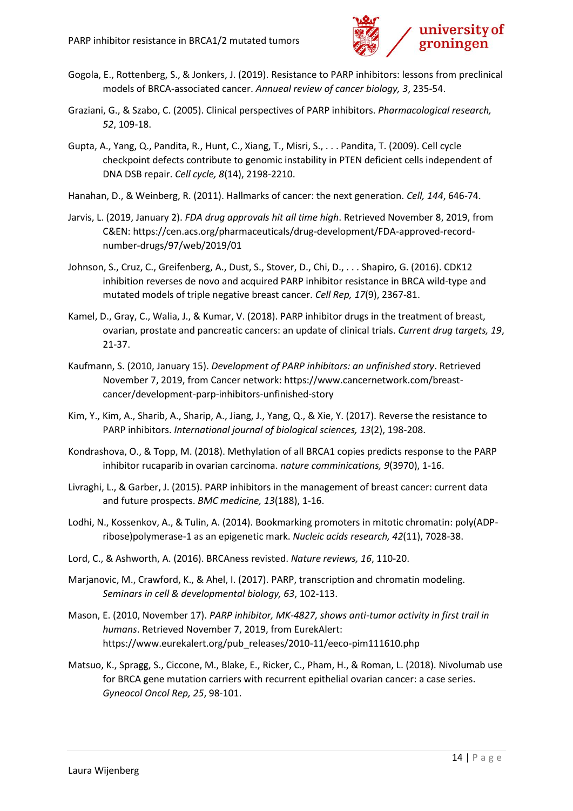

- Gogola, E., Rottenberg, S., & Jonkers, J. (2019). Resistance to PARP inhibitors: lessons from preclinical models of BRCA-associated cancer. *Annueal review of cancer biology, 3*, 235-54.
- Graziani, G., & Szabo, C. (2005). Clinical perspectives of PARP inhibitors. *Pharmacological research, 52*, 109-18.
- Gupta, A., Yang, Q., Pandita, R., Hunt, C., Xiang, T., Misri, S., . . . Pandita, T. (2009). Cell cycle checkpoint defects contribute to genomic instability in PTEN deficient cells independent of DNA DSB repair. *Cell cycle, 8*(14), 2198-2210.
- Hanahan, D., & Weinberg, R. (2011). Hallmarks of cancer: the next generation. *Cell, 144*, 646-74.
- Jarvis, L. (2019, January 2). *FDA drug approvals hit all time high*. Retrieved November 8, 2019, from C&EN: https://cen.acs.org/pharmaceuticals/drug-development/FDA-approved-recordnumber-drugs/97/web/2019/01
- Johnson, S., Cruz, C., Greifenberg, A., Dust, S., Stover, D., Chi, D., . . . Shapiro, G. (2016). CDK12 inhibition reverses de novo and acquired PARP inhibitor resistance in BRCA wild-type and mutated models of triple negative breast cancer. *Cell Rep, 17*(9), 2367-81.
- Kamel, D., Gray, C., Walia, J., & Kumar, V. (2018). PARP inhibitor drugs in the treatment of breast, ovarian, prostate and pancreatic cancers: an update of clinical trials. *Current drug targets, 19*, 21-37.
- Kaufmann, S. (2010, January 15). *Development of PARP inhibitors: an unfinished story*. Retrieved November 7, 2019, from Cancer network: https://www.cancernetwork.com/breastcancer/development-parp-inhibitors-unfinished-story
- Kim, Y., Kim, A., Sharib, A., Sharip, A., Jiang, J., Yang, Q., & Xie, Y. (2017). Reverse the resistance to PARP inhibitors. *International journal of biological sciences, 13*(2), 198-208.
- Kondrashova, O., & Topp, M. (2018). Methylation of all BRCA1 copies predicts response to the PARP inhibitor rucaparib in ovarian carcinoma. *nature comminications, 9*(3970), 1-16.
- Livraghi, L., & Garber, J. (2015). PARP inhibitors in the management of breast cancer: current data and future prospects. *BMC medicine, 13*(188), 1-16.
- Lodhi, N., Kossenkov, A., & Tulin, A. (2014). Bookmarking promoters in mitotic chromatin: poly(ADPribose)polymerase-1 as an epigenetic mark. *Nucleic acids research, 42*(11), 7028-38.
- Lord, C., & Ashworth, A. (2016). BRCAness revisted. *Nature reviews, 16*, 110-20.
- Marjanovic, M., Crawford, K., & Ahel, I. (2017). PARP, transcription and chromatin modeling. *Seminars in cell & developmental biology, 63*, 102-113.
- Mason, E. (2010, November 17). *PARP inhibitor, MK-4827, shows anti-tumor activity in first trail in humans*. Retrieved November 7, 2019, from EurekAlert: https://www.eurekalert.org/pub\_releases/2010-11/eeco-pim111610.php
- Matsuo, K., Spragg, S., Ciccone, M., Blake, E., Ricker, C., Pham, H., & Roman, L. (2018). Nivolumab use for BRCA gene mutation carriers with recurrent epithelial ovarian cancer: a case series. *Gyneocol Oncol Rep, 25*, 98-101.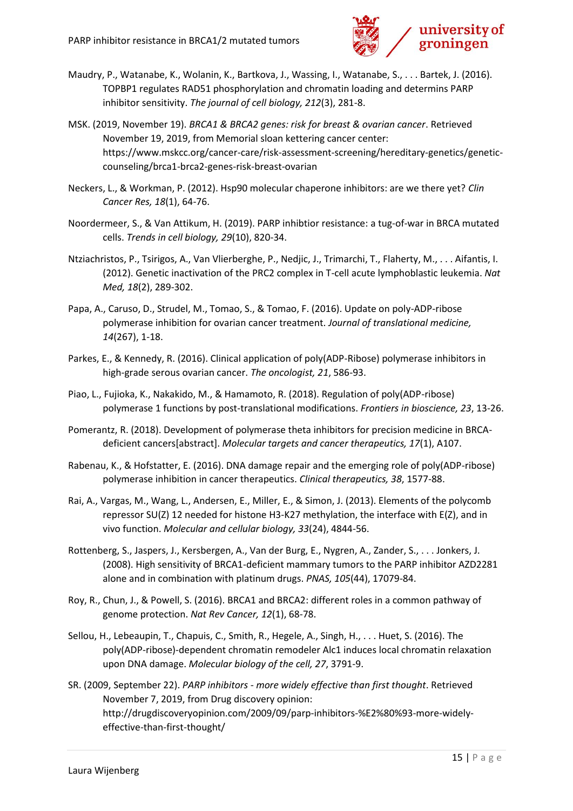

- Maudry, P., Watanabe, K., Wolanin, K., Bartkova, J., Wassing, I., Watanabe, S., . . . Bartek, J. (2016). TOPBP1 regulates RAD51 phosphorylation and chromatin loading and determins PARP inhibitor sensitivity. *The journal of cell biology, 212*(3), 281-8.
- MSK. (2019, November 19). *BRCA1 & BRCA2 genes: risk for breast & ovarian cancer*. Retrieved November 19, 2019, from Memorial sloan kettering cancer center: https://www.mskcc.org/cancer-care/risk-assessment-screening/hereditary-genetics/geneticcounseling/brca1-brca2-genes-risk-breast-ovarian
- Neckers, L., & Workman, P. (2012). Hsp90 molecular chaperone inhibitors: are we there yet? *Clin Cancer Res, 18*(1), 64-76.
- Noordermeer, S., & Van Attikum, H. (2019). PARP inhibtior resistance: a tug-of-war in BRCA mutated cells. *Trends in cell biology, 29*(10), 820-34.
- Ntziachristos, P., Tsirigos, A., Van Vlierberghe, P., Nedjic, J., Trimarchi, T., Flaherty, M., . . . Aifantis, I. (2012). Genetic inactivation of the PRC2 complex in T-cell acute lymphoblastic leukemia. *Nat Med, 18*(2), 289-302.
- Papa, A., Caruso, D., Strudel, M., Tomao, S., & Tomao, F. (2016). Update on poly-ADP-ribose polymerase inhibition for ovarian cancer treatment. *Journal of translational medicine, 14*(267), 1-18.
- Parkes, E., & Kennedy, R. (2016). Clinical application of poly(ADP-Ribose) polymerase inhibitors in high-grade serous ovarian cancer. *The oncologist, 21*, 586-93.
- Piao, L., Fujioka, K., Nakakido, M., & Hamamoto, R. (2018). Regulation of poly(ADP-ribose) polymerase 1 functions by post-translational modifications. *Frontiers in bioscience, 23*, 13-26.
- Pomerantz, R. (2018). Development of polymerase theta inhibitors for precision medicine in BRCAdeficient cancers[abstract]. *Molecular targets and cancer therapeutics, 17*(1), A107.
- Rabenau, K., & Hofstatter, E. (2016). DNA damage repair and the emerging role of poly(ADP-ribose) polymerase inhibition in cancer therapeutics. *Clinical therapeutics, 38*, 1577-88.
- Rai, A., Vargas, M., Wang, L., Andersen, E., Miller, E., & Simon, J. (2013). Elements of the polycomb repressor SU(Z) 12 needed for histone H3-K27 methylation, the interface with E(Z), and in vivo function. *Molecular and cellular biology, 33*(24), 4844-56.
- Rottenberg, S., Jaspers, J., Kersbergen, A., Van der Burg, E., Nygren, A., Zander, S., . . . Jonkers, J. (2008). High sensitivity of BRCA1-deficient mammary tumors to the PARP inhibitor AZD2281 alone and in combination with platinum drugs. *PNAS, 105*(44), 17079-84.
- Roy, R., Chun, J., & Powell, S. (2016). BRCA1 and BRCA2: different roles in a common pathway of genome protection. *Nat Rev Cancer, 12*(1), 68-78.
- Sellou, H., Lebeaupin, T., Chapuis, C., Smith, R., Hegele, A., Singh, H., . . . Huet, S. (2016). The poly(ADP-ribose)-dependent chromatin remodeler Alc1 induces local chromatin relaxation upon DNA damage. *Molecular biology of the cell, 27*, 3791-9.
- SR. (2009, September 22). *PARP inhibitors - more widely effective than first thought*. Retrieved November 7, 2019, from Drug discovery opinion: http://drugdiscoveryopinion.com/2009/09/parp-inhibitors-%E2%80%93-more-widelyeffective-than-first-thought/